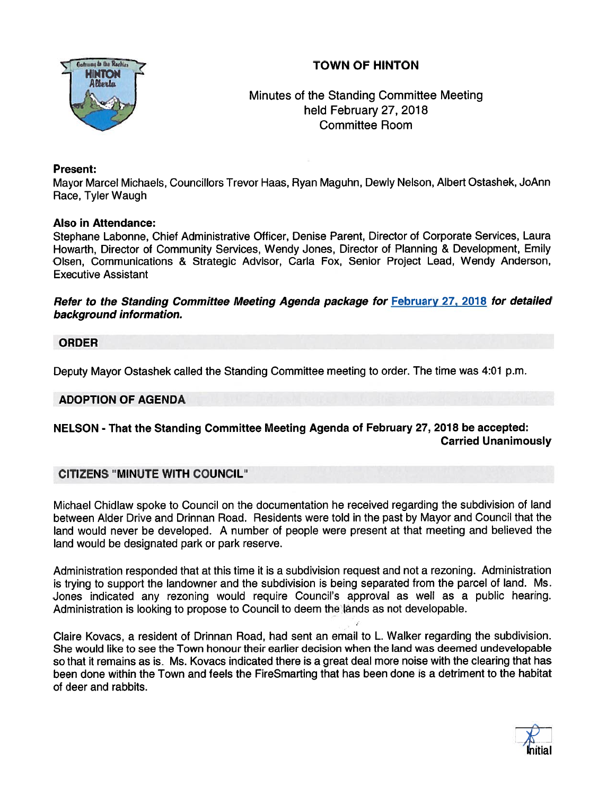# TOWN OF HINTON



# Minutes of the Standing Committee Meeting held February 27, 2018 Committee Room

## Present:

Mayor Marcel Michaels, Councillors Trevor Haas, Ryan Maguhn, Dewly Nelson, Albert Ostashek, JoAnn Race, Tyler Waugh

## Also in Attendance:

Stephane Labonne, Chief Administrative Officer, Denise Parent, Director of Corporate Services, Laura Howarth, Director of Community Services, Wendy Jones, Director of Planning & Development, Emily Olsen, Communications & Strategic Advisor, Carla Fox, Senior Project Lead, Wendy Anderson, Executive Assistant

Refer to the Standing Committee Meeting Agenda package for February 27, 2018 for detailed background information.

## ORDER

Deputy Mayor Ostashek called the Standing Committee meeting to order. The time was 4:01 p.m.

## ADOPTION OF AGENDA

## NELSON - That the Standing Committee Meeting Agenda of February 27, 2018 be accepted: Carried Unanimously

## CITIZENS "MINUTE WITH COUNCIL"

Michael Chidlaw spoke to Council on the documentation he received regarding the subdivision of land between Alder Drive and Drinnan Road. Residents were told in the pas<sup>t</sup> by Mayor and Council that the land would never be developed. <sup>A</sup> number of people were presen<sup>t</sup> at that meeting and believed the land would be designated park or park reserve.

Administration responded that at this time it is <sup>a</sup> subdivision reques<sup>t</sup> and not <sup>a</sup> rezoning. Administration is trying to suppor<sup>t</sup> the landowner and the subdivision is being separated from the parce<sup>l</sup> of land. Ms. Jones indicated any rezoning would require Council's approval as well as <sup>a</sup> public hearing. Administration is looking to propose to Council to deem the lands as not developable.

Claire Kovacs, <sup>a</sup> resident of Drinnan Road, had sent an email to L. Walker regarding the subdivision. She would like to see the Town honour their earlier decision when the land was deemed undevelopable so that it remains as is. Ms. Kovacs indicated there is <sup>a</sup> grea<sup>t</sup> deal more noise with the clearing that has been done within the Town and feels the FireSmarting that has been done is <sup>a</sup> detriment to the habitat of deer and rabbits.

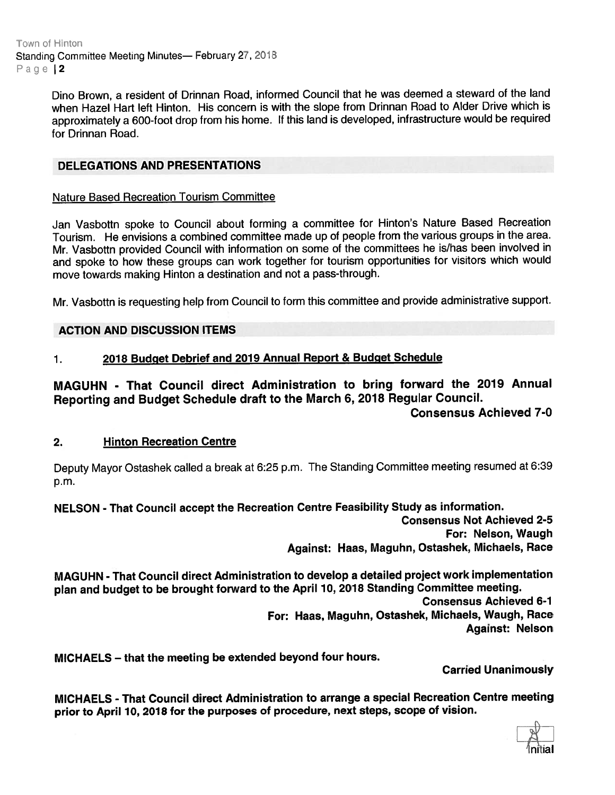Town of Hinton Standing Committee Meeting Minutes— February 27, 2018 Page 12

> Dino Brown, <sup>a</sup> resident of Drinnan Road, informed Council that he was deemed <sup>a</sup> steward of the land when Hazel Hart left Hinton. His concern is with the slope from Drinnan Road to Alder Drive which is approximately <sup>a</sup> 600-foot drop from his home. If this land is developed, infrastructure would be required for Drinnan Road.

## DELEGATIONS AND PRESENTATIONS

#### Nature Based Recreation Tourism Committee

Jan Vasbottn spoke to Council about forming <sup>a</sup> committee for Hinton's Nature Based Recreation Tourism. He envisions <sup>a</sup> combined committee made up of people from the various groups in the area. Mr. Vasbottn provided Council with information on some of the committees he is/has been involved in and spoke to how these groups can work together for tourism opportunities for visitors which would move towards making Hinton <sup>a</sup> destination and not <sup>a</sup> pass-through.

Mr. Vasbottn is requesting help from Council to form this committee and provide administrative support.

### ACTION AND DISCUSSION ITEMS

### 1. <sup>2078</sup> Budget Debrief and <sup>2079</sup> Annual Report & Budget Schedule

# MAGUHN - That Council direct Administration to bring forward the 2079 Annual Reporting and Budget Schedule draft to the March 6, <sup>2078</sup> Regular Council.

## Consensus Achieved 7-0

#### 2. Hinton Recreation Centre

Deputy Mayor Ostashek called <sup>a</sup> break at 6:25 p.m. The Standing Committee meeting resumed at 6:39 p.m.

## NELSON - That Council accep<sup>t</sup> the Recreation Centre Feasibility Study as information.

Consensus Not Achieved 2-5 For: Nelson, Waugh Against: Haas, Maguhn, Ostashek, Michaels, Race

MAGUHN -That Council direct Administration to develop <sup>a</sup> detailed project work implementation <sup>p</sup>lan and budget to be brought forward to the April 70, <sup>2078</sup> Standing Committee meeting.

Consensus Achieved 6-7 For: Haas, Maguhn, Ostashek, Michaels, Waugh, Race Against: Nelson

MICHAELS — that the meeting be extended beyond four hours.

Carried Unanimously

MICHAELS - That Council direct Administration to arrange <sup>a</sup> special Recreation Centre meeting prior to April 10, <sup>2018</sup> for the purposes of procedure, next steps, scope of vision.